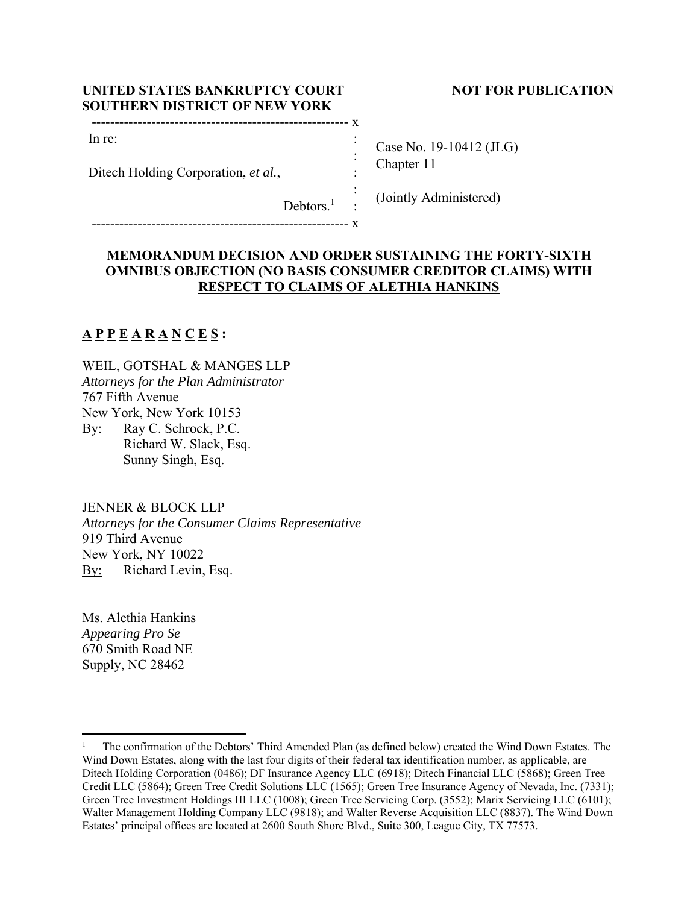| UNITED STATES BANKRUPTCY COURT       | <b>NOT FOR PUBLICATION</b> |
|--------------------------------------|----------------------------|
| <b>SOUTHERN DISTRICT OF NEW YORK</b> |                            |

-------------------------------------------------------- x

| Case No. 19-10412 (JLG) |
|-------------------------|
| Chapter 11              |

Debtors.<sup>1</sup> : : (Jointly Administered)

 : : :

-------------------------------------------------------- x

Ditech Holding Corporation, *et al.*,

# **MEMORANDUM DECISION AND ORDER SUSTAINING THE FORTY-SIXTH OMNIBUS OBJECTION (NO BASIS CONSUMER CREDITOR CLAIMS) WITH RESPECT TO CLAIMS OF ALETHIA HANKINS**

# **A P P E A R A N C E S :**

In re:

WEIL, GOTSHAL & MANGES LLP *Attorneys for the Plan Administrator*  767 Fifth Avenue New York, New York 10153 By: Ray C. Schrock, P.C. Richard W. Slack, Esq. Sunny Singh, Esq.

JENNER & BLOCK LLP

*Attorneys for the Consumer Claims Representative*  919 Third Avenue New York, NY 10022 By: Richard Levin, Esq.

Ms. Alethia Hankins *Appearing Pro Se*  670 Smith Road NE Supply, NC 28462

<sup>1</sup> The confirmation of the Debtors' Third Amended Plan (as defined below) created the Wind Down Estates. The Wind Down Estates, along with the last four digits of their federal tax identification number, as applicable, are Ditech Holding Corporation (0486); DF Insurance Agency LLC (6918); Ditech Financial LLC (5868); Green Tree Credit LLC (5864); Green Tree Credit Solutions LLC (1565); Green Tree Insurance Agency of Nevada, Inc. (7331); Green Tree Investment Holdings III LLC (1008); Green Tree Servicing Corp. (3552); Marix Servicing LLC (6101); Walter Management Holding Company LLC (9818); and Walter Reverse Acquisition LLC (8837). The Wind Down Estates' principal offices are located at 2600 South Shore Blvd., Suite 300, League City, TX 77573.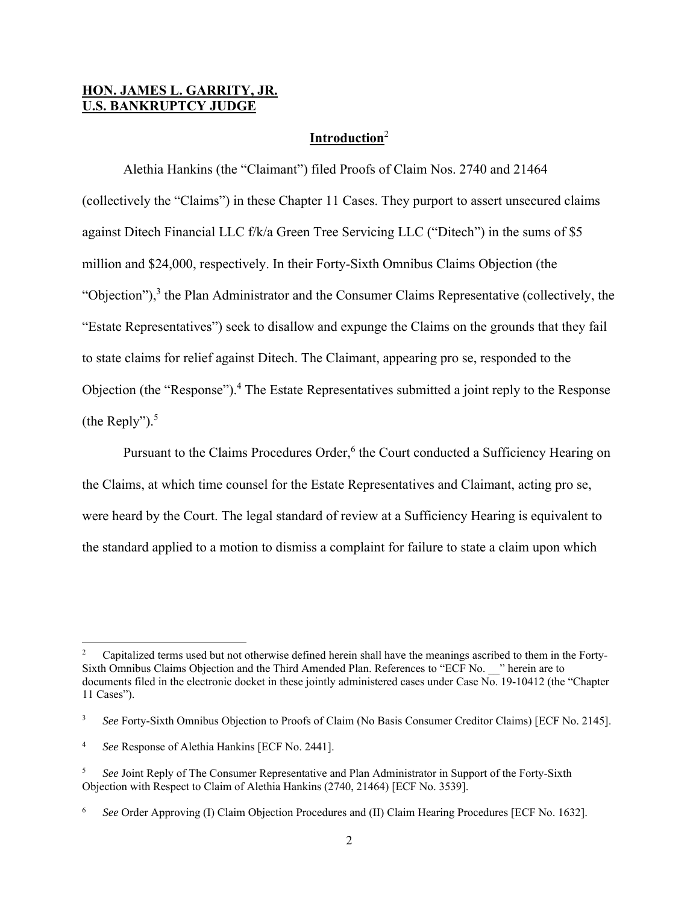## **HON. JAMES L. GARRITY, JR. U.S. BANKRUPTCY JUDGE**

# **Introduction**<sup>2</sup>

 Alethia Hankins (the "Claimant") filed Proofs of Claim Nos. 2740 and 21464 (collectively the "Claims") in these Chapter 11 Cases. They purport to assert unsecured claims against Ditech Financial LLC f/k/a Green Tree Servicing LLC ("Ditech") in the sums of \$5 million and \$24,000, respectively. In their Forty-Sixth Omnibus Claims Objection (the "Objection"), $3$  the Plan Administrator and the Consumer Claims Representative (collectively, the "Estate Representatives") seek to disallow and expunge the Claims on the grounds that they fail to state claims for relief against Ditech. The Claimant, appearing pro se, responded to the Objection (the "Response").<sup>4</sup> The Estate Representatives submitted a joint reply to the Response (the Reply"). $5$ 

Pursuant to the Claims Procedures Order,<sup>6</sup> the Court conducted a Sufficiency Hearing on the Claims, at which time counsel for the Estate Representatives and Claimant, acting pro se, were heard by the Court. The legal standard of review at a Sufficiency Hearing is equivalent to the standard applied to a motion to dismiss a complaint for failure to state a claim upon which

<sup>2</sup> Capitalized terms used but not otherwise defined herein shall have the meanings ascribed to them in the Forty-Sixth Omnibus Claims Objection and the Third Amended Plan. References to "ECF No. <sup>2</sup>" herein are to documents filed in the electronic docket in these jointly administered cases under Case  $\overline{No}$ . 19-10412 (the "Chapter" 11 Cases").

<sup>3</sup> *See* Forty-Sixth Omnibus Objection to Proofs of Claim (No Basis Consumer Creditor Claims) [ECF No. 2145].

<sup>4</sup> *See* Response of Alethia Hankins [ECF No. 2441].

<sup>5</sup> *See* Joint Reply of The Consumer Representative and Plan Administrator in Support of the Forty-Sixth Objection with Respect to Claim of Alethia Hankins (2740, 21464) [ECF No. 3539].

<sup>6</sup> *See* Order Approving (I) Claim Objection Procedures and (II) Claim Hearing Procedures [ECF No. 1632].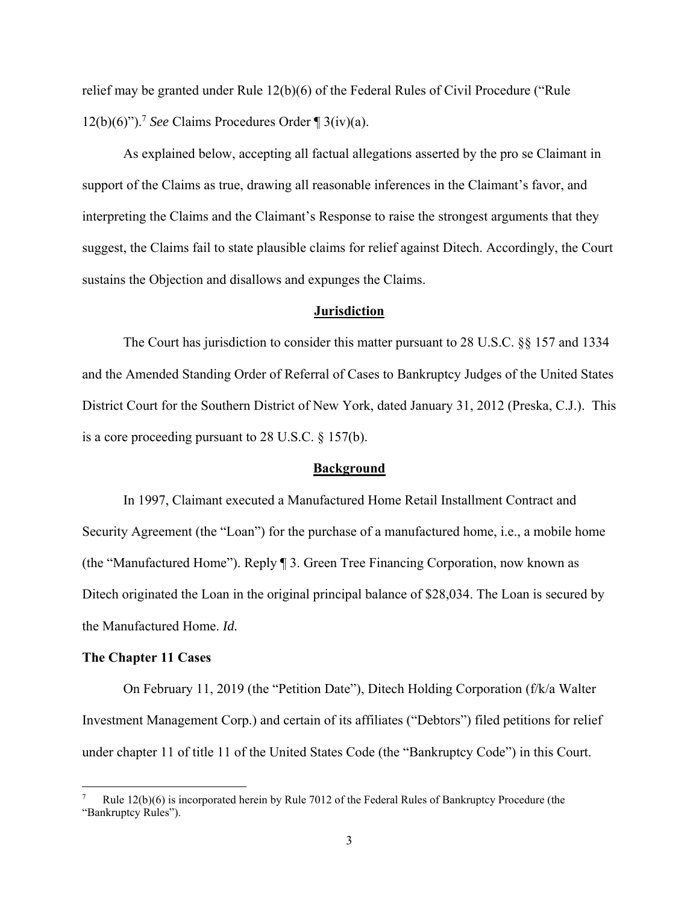relief may be granted under Rule 12(b)(6) of the Federal Rules of Civil Procedure ("Rule  $12(b)(6)$ ").<sup>7</sup> *See* Claims Procedures Order  $\mathcal{F}$  3(iv)(a).

 As explained below, accepting all factual allegations asserted by the pro se Claimant in support of the Claims as true, drawing all reasonable inferences in the Claimant's favor, and interpreting the Claims and the Claimant's Response to raise the strongest arguments that they suggest, the Claims fail to state plausible claims for relief against Ditech. Accordingly, the Court sustains the Objection and disallows and expunges the Claims.

#### **Jurisdiction**

 The Court has jurisdiction to consider this matter pursuant to 28 U.S.C. §§ 157 and 1334 and the Amended Standing Order of Referral of Cases to Bankruptcy Judges of the United States District Court for the Southern District of New York, dated January 31, 2012 (Preska, C.J.). This is a core proceeding pursuant to 28 U.S.C. § 157(b).

#### **Background**

 In 1997, Claimant executed a Manufactured Home Retail Installment Contract and Security Agreement (the "Loan") for the purchase of a manufactured home, i.e., a mobile home (the "Manufactured Home"). Reply ¶ 3. Green Tree Financing Corporation, now known as Ditech originated the Loan in the original principal balance of \$28,034. The Loan is secured by the Manufactured Home. *Id.* 

#### **The Chapter 11 Cases**

 On February 11, 2019 (the "Petition Date"), Ditech Holding Corporation (f/k/a Walter Investment Management Corp.) and certain of its affiliates ("Debtors") filed petitions for relief under chapter 11 of title 11 of the United States Code (the "Bankruptcy Code") in this Court.

<sup>7</sup> Rule 12(b)(6) is incorporated herein by Rule 7012 of the Federal Rules of Bankruptcy Procedure (the "Bankruptcy Rules").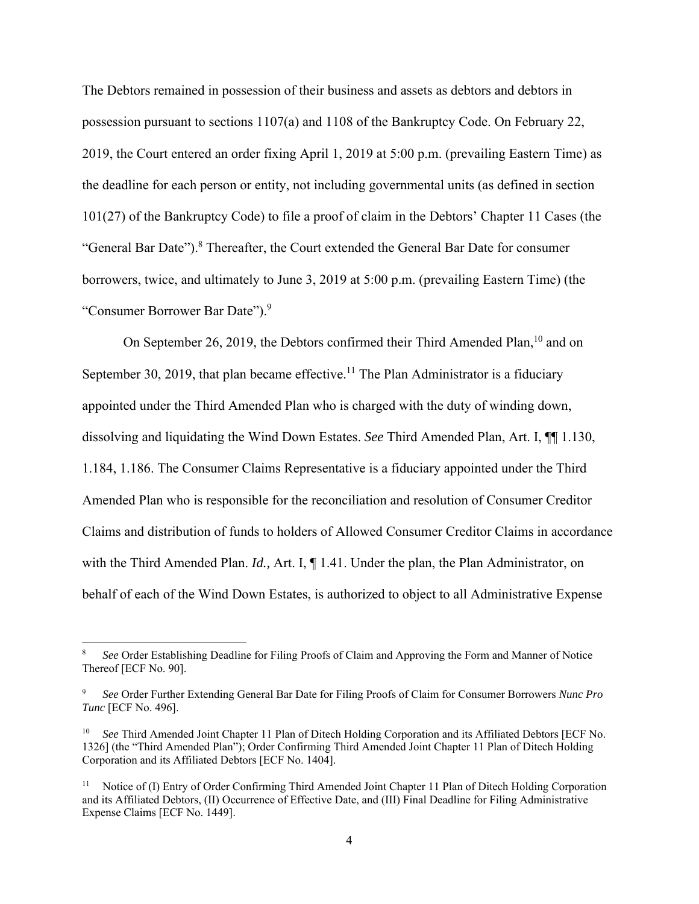The Debtors remained in possession of their business and assets as debtors and debtors in possession pursuant to sections 1107(a) and 1108 of the Bankruptcy Code. On February 22, 2019, the Court entered an order fixing April 1, 2019 at 5:00 p.m. (prevailing Eastern Time) as the deadline for each person or entity, not including governmental units (as defined in section 101(27) of the Bankruptcy Code) to file a proof of claim in the Debtors' Chapter 11 Cases (the "General Bar Date").<sup>8</sup> Thereafter, the Court extended the General Bar Date for consumer borrowers, twice, and ultimately to June 3, 2019 at 5:00 p.m. (prevailing Eastern Time) (the "Consumer Borrower Bar Date").<sup>9</sup>

On September 26, 2019, the Debtors confirmed their Third Amended Plan,  $^{10}$  and on September 30, 2019, that plan became effective.<sup>11</sup> The Plan Administrator is a fiduciary appointed under the Third Amended Plan who is charged with the duty of winding down, dissolving and liquidating the Wind Down Estates. *See* Third Amended Plan, Art. I, ¶¶ 1.130, 1.184, 1.186. The Consumer Claims Representative is a fiduciary appointed under the Third Amended Plan who is responsible for the reconciliation and resolution of Consumer Creditor Claims and distribution of funds to holders of Allowed Consumer Creditor Claims in accordance with the Third Amended Plan. *Id.,* Art. I, ¶ 1.41. Under the plan, the Plan Administrator, on behalf of each of the Wind Down Estates, is authorized to object to all Administrative Expense

<sup>8</sup> *See* Order Establishing Deadline for Filing Proofs of Claim and Approving the Form and Manner of Notice Thereof [ECF No. 90].

<sup>9</sup> *See* Order Further Extending General Bar Date for Filing Proofs of Claim for Consumer Borrowers *Nunc Pro Tunc* [ECF No. 496].

See Third Amended Joint Chapter 11 Plan of Ditech Holding Corporation and its Affiliated Debtors [ECF No. 1326] (the "Third Amended Plan"); Order Confirming Third Amended Joint Chapter 11 Plan of Ditech Holding Corporation and its Affiliated Debtors [ECF No. 1404].

<sup>&</sup>lt;sup>11</sup> Notice of (I) Entry of Order Confirming Third Amended Joint Chapter 11 Plan of Ditech Holding Corporation and its Affiliated Debtors, (II) Occurrence of Effective Date, and (III) Final Deadline for Filing Administrative Expense Claims [ECF No. 1449].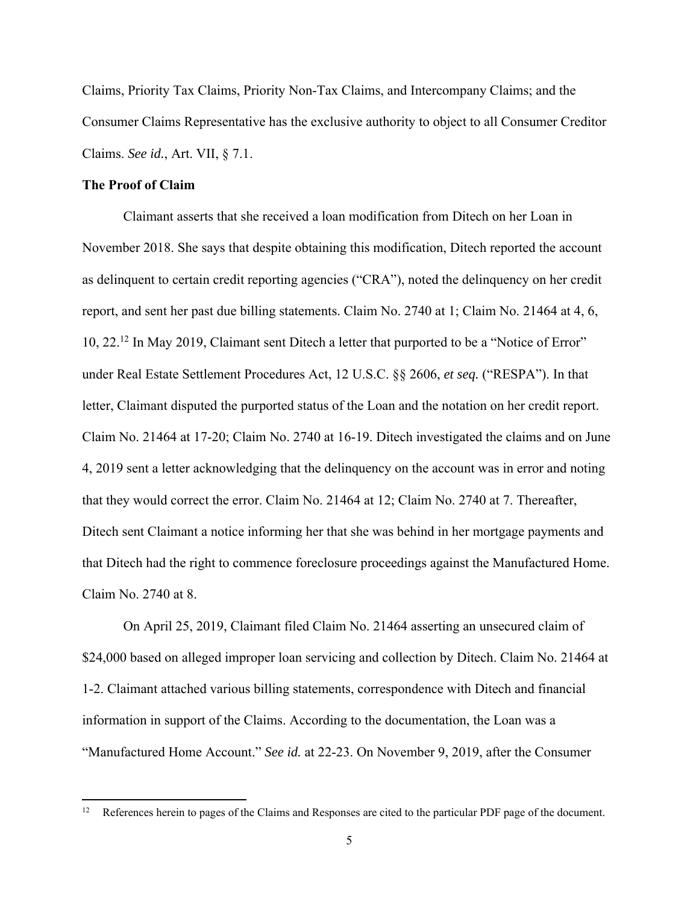Claims, Priority Tax Claims, Priority Non-Tax Claims, and Intercompany Claims; and the Consumer Claims Representative has the exclusive authority to object to all Consumer Creditor Claims. *See id.*, Art. VII, § 7.1.

#### **The Proof of Claim**

Claimant asserts that she received a loan modification from Ditech on her Loan in November 2018. She says that despite obtaining this modification, Ditech reported the account as delinquent to certain credit reporting agencies ("CRA"), noted the delinquency on her credit report, and sent her past due billing statements. Claim No. 2740 at 1; Claim No. 21464 at 4, 6, 10, 22.12 In May 2019, Claimant sent Ditech a letter that purported to be a "Notice of Error" under Real Estate Settlement Procedures Act, 12 U.S.C. §§ 2606, *et seq.* ("RESPA"). In that letter, Claimant disputed the purported status of the Loan and the notation on her credit report. Claim No. 21464 at 17-20; Claim No. 2740 at 16-19. Ditech investigated the claims and on June 4, 2019 sent a letter acknowledging that the delinquency on the account was in error and noting that they would correct the error. Claim No. 21464 at 12; Claim No. 2740 at 7. Thereafter, Ditech sent Claimant a notice informing her that she was behind in her mortgage payments and that Ditech had the right to commence foreclosure proceedings against the Manufactured Home. Claim No. 2740 at 8.

On April 25, 2019, Claimant filed Claim No. 21464 asserting an unsecured claim of \$24,000 based on alleged improper loan servicing and collection by Ditech. Claim No. 21464 at 1-2. Claimant attached various billing statements, correspondence with Ditech and financial information in support of the Claims. According to the documentation, the Loan was a "Manufactured Home Account." *See id.* at 22-23. On November 9, 2019, after the Consumer

<sup>12</sup> References herein to pages of the Claims and Responses are cited to the particular PDF page of the document.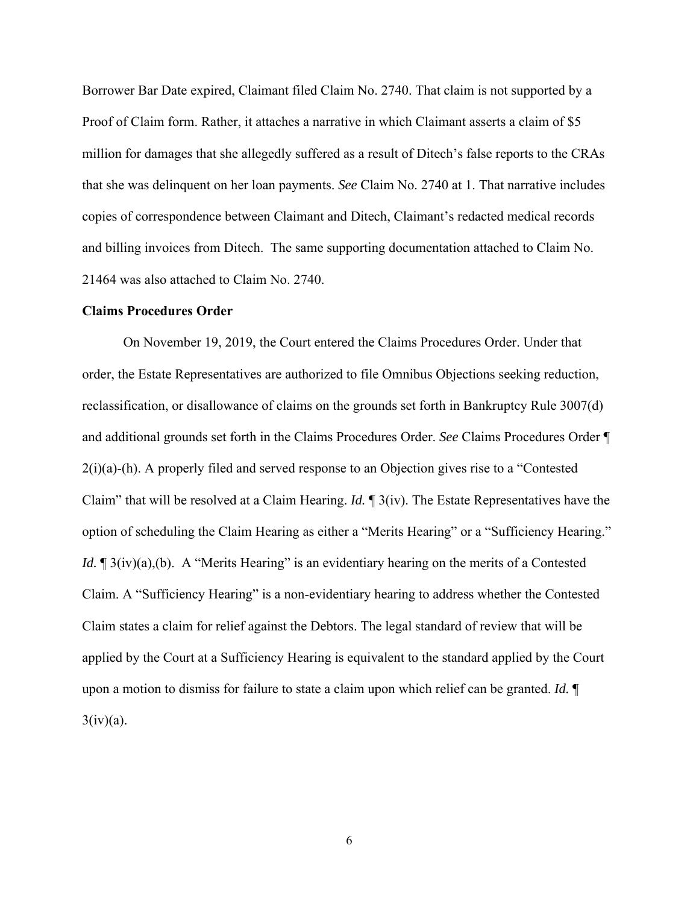Borrower Bar Date expired, Claimant filed Claim No. 2740. That claim is not supported by a Proof of Claim form. Rather, it attaches a narrative in which Claimant asserts a claim of \$5 million for damages that she allegedly suffered as a result of Ditech's false reports to the CRAs that she was delinquent on her loan payments. *See* Claim No. 2740 at 1. That narrative includes copies of correspondence between Claimant and Ditech, Claimant's redacted medical records and billing invoices from Ditech. The same supporting documentation attached to Claim No. 21464 was also attached to Claim No. 2740.

#### **Claims Procedures Order**

 On November 19, 2019, the Court entered the Claims Procedures Order. Under that order, the Estate Representatives are authorized to file Omnibus Objections seeking reduction, reclassification, or disallowance of claims on the grounds set forth in Bankruptcy Rule 3007(d) and additional grounds set forth in the Claims Procedures Order. *See* Claims Procedures Order ¶ 2(i)(a)-(h). A properly filed and served response to an Objection gives rise to a "Contested Claim" that will be resolved at a Claim Hearing. *Id.* ¶ 3(iv). The Estate Representatives have the option of scheduling the Claim Hearing as either a "Merits Hearing" or a "Sufficiency Hearing." *Id.*  $\mathbb{I}$  3(iv)(a),(b). A "Merits Hearing" is an evidentiary hearing on the merits of a Contested Claim. A "Sufficiency Hearing" is a non-evidentiary hearing to address whether the Contested Claim states a claim for relief against the Debtors. The legal standard of review that will be applied by the Court at a Sufficiency Hearing is equivalent to the standard applied by the Court upon a motion to dismiss for failure to state a claim upon which relief can be granted. *Id.* ¶  $3(iv)(a)$ .

6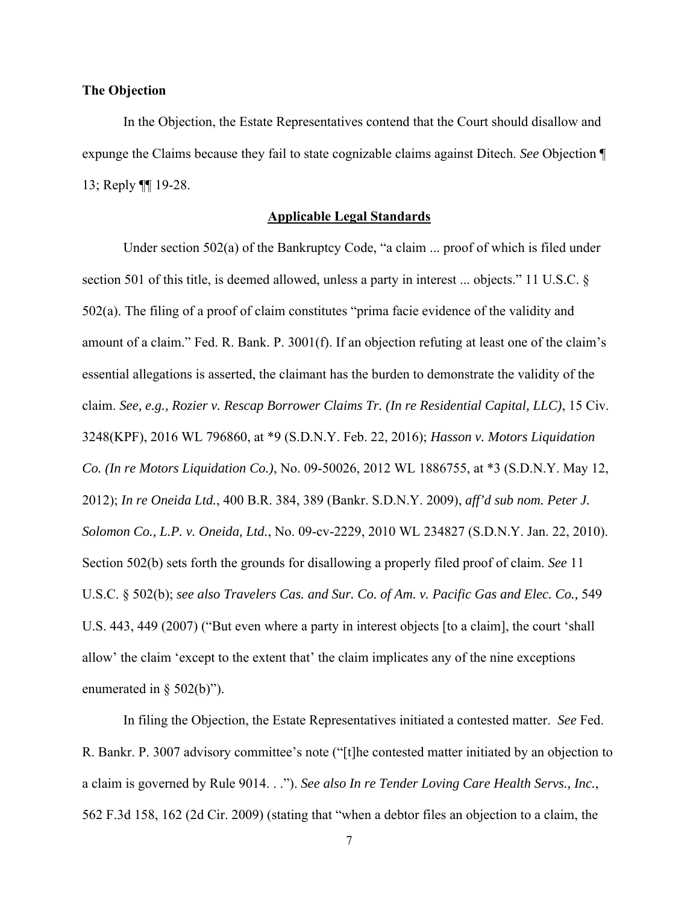## **The Objection**

 In the Objection, the Estate Representatives contend that the Court should disallow and expunge the Claims because they fail to state cognizable claims against Ditech. *See* Objection ¶ 13; Reply ¶¶ 19-28.

#### **Applicable Legal Standards**

 Under section 502(a) of the Bankruptcy Code, "a claim ... proof of which is filed under section 501 of this title, is deemed allowed, unless a party in interest ... objects." 11 U.S.C. § 502(a). The filing of a proof of claim constitutes "prima facie evidence of the validity and amount of a claim." Fed. R. Bank. P. 3001(f). If an objection refuting at least one of the claim's essential allegations is asserted, the claimant has the burden to demonstrate the validity of the claim. *See, e.g., Rozier v. Rescap Borrower Claims Tr. (In re Residential Capital, LLC)*, 15 Civ. 3248(KPF), 2016 WL 796860, at \*9 (S.D.N.Y. Feb. 22, 2016); *Hasson v. Motors Liquidation Co. (In re Motors Liquidation Co.)*, No. 09-50026, 2012 WL 1886755, at \*3 (S.D.N.Y. May 12, 2012); *In re Oneida Ltd.*, 400 B.R. 384, 389 (Bankr. S.D.N.Y. 2009), *aff'd sub nom. Peter J. Solomon Co., L.P. v. Oneida, Ltd.*, No. 09-cv-2229, 2010 WL 234827 (S.D.N.Y. Jan. 22, 2010). Section 502(b) sets forth the grounds for disallowing a properly filed proof of claim. *See* 11 U.S.C. § 502(b); *see also Travelers Cas. and Sur. Co. of Am. v. Pacific Gas and Elec. Co.,* 549 U.S. 443, 449 (2007) ("But even where a party in interest objects [to a claim], the court 'shall allow' the claim 'except to the extent that' the claim implicates any of the nine exceptions enumerated in § 502(b)").

 In filing the Objection, the Estate Representatives initiated a contested matter. *See* Fed. R. Bankr. P. 3007 advisory committee's note ("[t]he contested matter initiated by an objection to a claim is governed by Rule 9014. . ."). *See also In re Tender Loving Care Health Servs., Inc.*, 562 F.3d 158, 162 (2d Cir. 2009) (stating that "when a debtor files an objection to a claim, the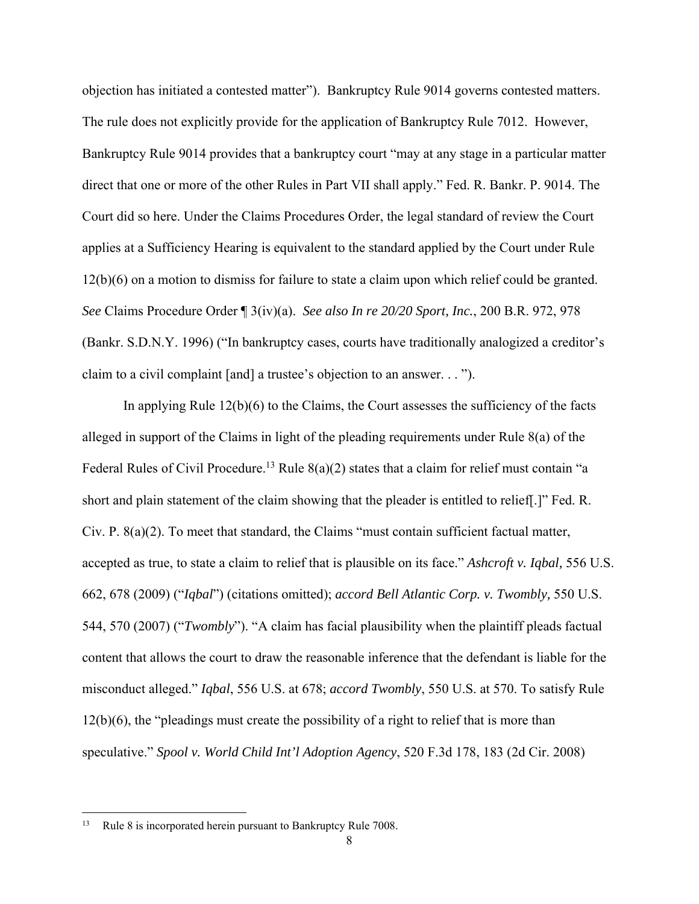objection has initiated a contested matter"). Bankruptcy Rule 9014 governs contested matters. The rule does not explicitly provide for the application of Bankruptcy Rule 7012. However, Bankruptcy Rule 9014 provides that a bankruptcy court "may at any stage in a particular matter direct that one or more of the other Rules in Part VII shall apply." Fed. R. Bankr. P. 9014. The Court did so here. Under the Claims Procedures Order, the legal standard of review the Court applies at a Sufficiency Hearing is equivalent to the standard applied by the Court under Rule 12(b)(6) on a motion to dismiss for failure to state a claim upon which relief could be granted. *See* Claims Procedure Order ¶ 3(iv)(a). *See also In re 20/20 Sport, Inc.*, 200 B.R. 972, 978 (Bankr. S.D.N.Y. 1996) ("In bankruptcy cases, courts have traditionally analogized a creditor's claim to a civil complaint [and] a trustee's objection to an answer. . . ").

 In applying Rule 12(b)(6) to the Claims, the Court assesses the sufficiency of the facts alleged in support of the Claims in light of the pleading requirements under Rule 8(a) of the Federal Rules of Civil Procedure.<sup>13</sup> Rule 8(a)(2) states that a claim for relief must contain "a short and plain statement of the claim showing that the pleader is entitled to relief[.]" Fed. R. Civ. P. 8(a)(2). To meet that standard, the Claims "must contain sufficient factual matter, accepted as true, to state a claim to relief that is plausible on its face." *Ashcroft v. Iqbal,* 556 U.S. 662, 678 (2009) ("*Iqbal*") (citations omitted); *accord Bell Atlantic Corp. v. Twombly,* 550 U.S. 544, 570 (2007) ("*Twombly*"). "A claim has facial plausibility when the plaintiff pleads factual content that allows the court to draw the reasonable inference that the defendant is liable for the misconduct alleged." *Iqbal*, 556 U.S. at 678; *accord Twombly*, 550 U.S. at 570. To satisfy Rule 12(b)(6), the "pleadings must create the possibility of a right to relief that is more than speculative." *Spool v. World Child Int'l Adoption Agency*, 520 F.3d 178, 183 (2d Cir. 2008)

<sup>&</sup>lt;sup>13</sup> Rule 8 is incorporated herein pursuant to Bankruptcy Rule 7008.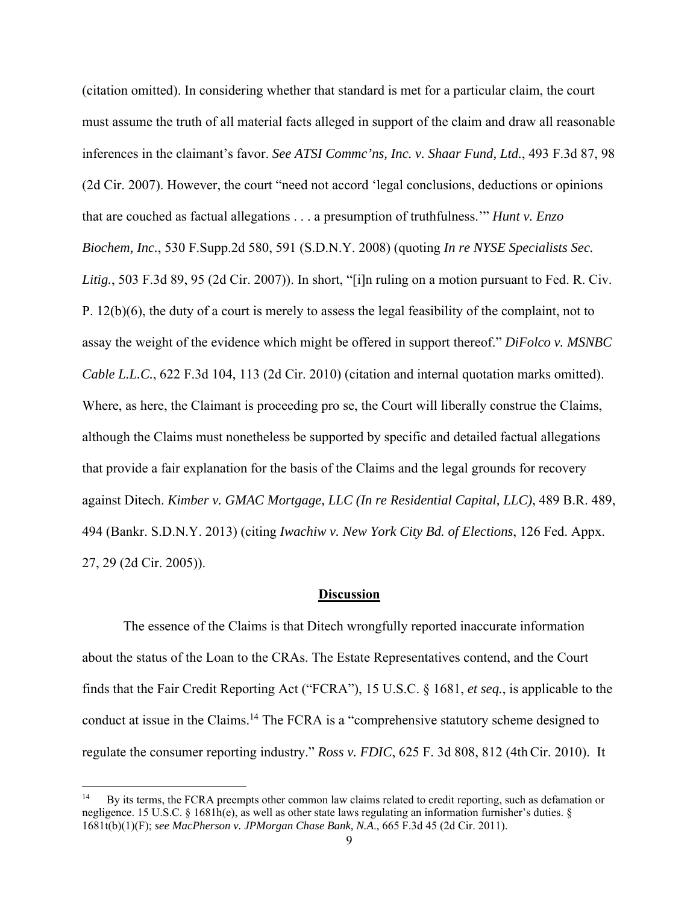(citation omitted). In considering whether that standard is met for a particular claim, the court must assume the truth of all material facts alleged in support of the claim and draw all reasonable inferences in the claimant's favor. *See ATSI Commc'ns, Inc. v. Shaar Fund, Ltd.*, 493 F.3d 87, 98 (2d Cir. 2007). However, the court "need not accord 'legal conclusions, deductions or opinions that are couched as factual allegations . . . a presumption of truthfulness.'" *Hunt v. Enzo Biochem, Inc.*, 530 F.Supp.2d 580, 591 (S.D.N.Y. 2008) (quoting *In re NYSE Specialists Sec. Litig.*, 503 F.3d 89, 95 (2d Cir. 2007)). In short, "[i]n ruling on a motion pursuant to Fed. R. Civ. P. 12(b)(6), the duty of a court is merely to assess the legal feasibility of the complaint, not to assay the weight of the evidence which might be offered in support thereof." *DiFolco v. MSNBC Cable L.L.C.*, 622 F.3d 104, 113 (2d Cir. 2010) (citation and internal quotation marks omitted). Where, as here, the Claimant is proceeding pro se, the Court will liberally construe the Claims, although the Claims must nonetheless be supported by specific and detailed factual allegations that provide a fair explanation for the basis of the Claims and the legal grounds for recovery against Ditech. *Kimber v. GMAC Mortgage, LLC (In re Residential Capital, LLC)*, 489 B.R. 489, 494 (Bankr. S.D.N.Y. 2013) (citing *Iwachiw v. New York City Bd. of Elections*, 126 Fed. Appx. 27, 29 (2d Cir. 2005)).

## **Discussion**

The essence of the Claims is that Ditech wrongfully reported inaccurate information about the status of the Loan to the CRAs. The Estate Representatives contend, and the Court finds that the Fair Credit Reporting Act ("FCRA"), 15 U.S.C. § 1681, *et seq.*, is applicable to the conduct at issue in the Claims.<sup>14</sup> The FCRA is a "comprehensive statutory scheme designed to regulate the consumer reporting industry." *Ross v. FDIC*, 625 F. 3d 808, 812 (4thCir. 2010). It

<sup>14</sup> By its terms, the FCRA preempts other common law claims related to credit reporting, such as defamation or negligence. 15 U.S.C. § 1681h(e), as well as other state laws regulating an information furnisher's duties. § 1681t(b)(1)(F); *see MacPherson v. JPMorgan Chase Bank, N.A*., 665 F.3d 45 (2d Cir. 2011).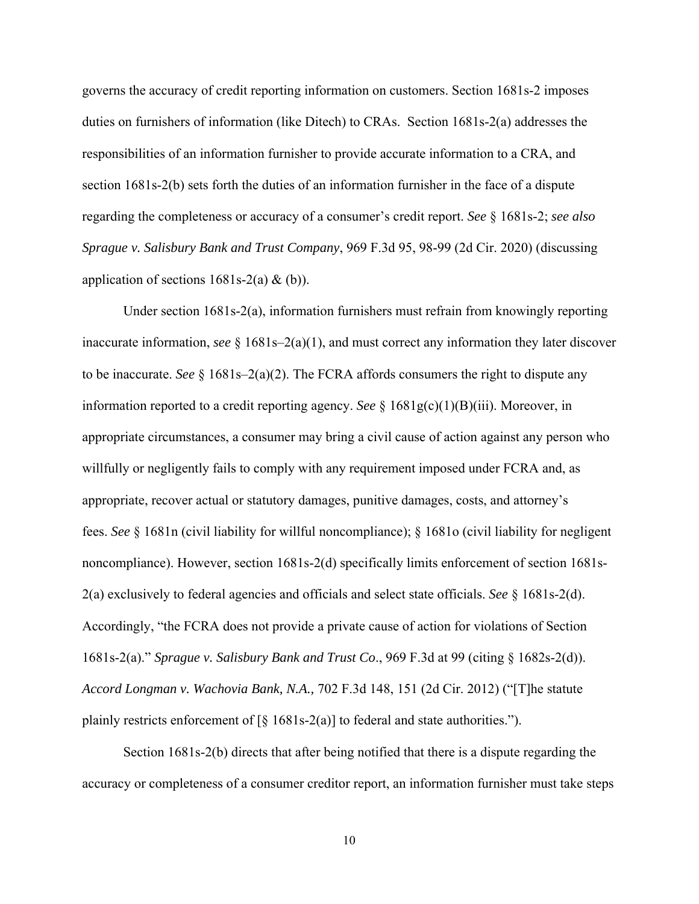governs the accuracy of credit reporting information on customers. Section 1681s-2 imposes duties on furnishers of information (like Ditech) to CRAs. Section 1681s-2(a) addresses the responsibilities of an information furnisher to provide accurate information to a CRA, and section 1681s-2(b) sets forth the duties of an information furnisher in the face of a dispute regarding the completeness or accuracy of a consumer's credit report. *See* § 1681s-2; *see also Sprague v. Salisbury Bank and Trust Company*, 969 F.3d 95, 98-99 (2d Cir. 2020) (discussing application of sections  $1681s-2(a) \& (b)$ .

Under section 1681s-2(a), information furnishers must refrain from knowingly reporting inaccurate information, *see* § 1681s–2(a)(1), and must correct any information they later discover to be inaccurate. *See* § 1681s–2(a)(2). The FCRA affords consumers the right to dispute any information reported to a credit reporting agency. *See* § 1681g(c)(1)(B)(iii). Moreover, in appropriate circumstances, a consumer may bring a civil cause of action against any person who willfully or negligently fails to comply with any requirement imposed under FCRA and, as appropriate, recover actual or statutory damages, punitive damages, costs, and attorney's fees. *See* § 1681n (civil liability for willful noncompliance); § 1681o (civil liability for negligent noncompliance). However, section 1681s-2(d) specifically limits enforcement of section 1681s-2(a) exclusively to federal agencies and officials and select state officials. *See* § 1681s-2(d). Accordingly, "the FCRA does not provide a private cause of action for violations of Section 1681s-2(a)." *Sprague v. Salisbury Bank and Trust Co*., 969 F.3d at 99 (citing § 1682s-2(d)). *Accord Longman v. Wachovia Bank, N.A.,* 702 F.3d 148, 151 (2d Cir. 2012) ("[T]he statute plainly restricts enforcement of  $\lceil \xi \rceil 681s-2(a)$  to federal and state authorities.").

Section 1681s-2(b) directs that after being notified that there is a dispute regarding the accuracy or completeness of a consumer creditor report, an information furnisher must take steps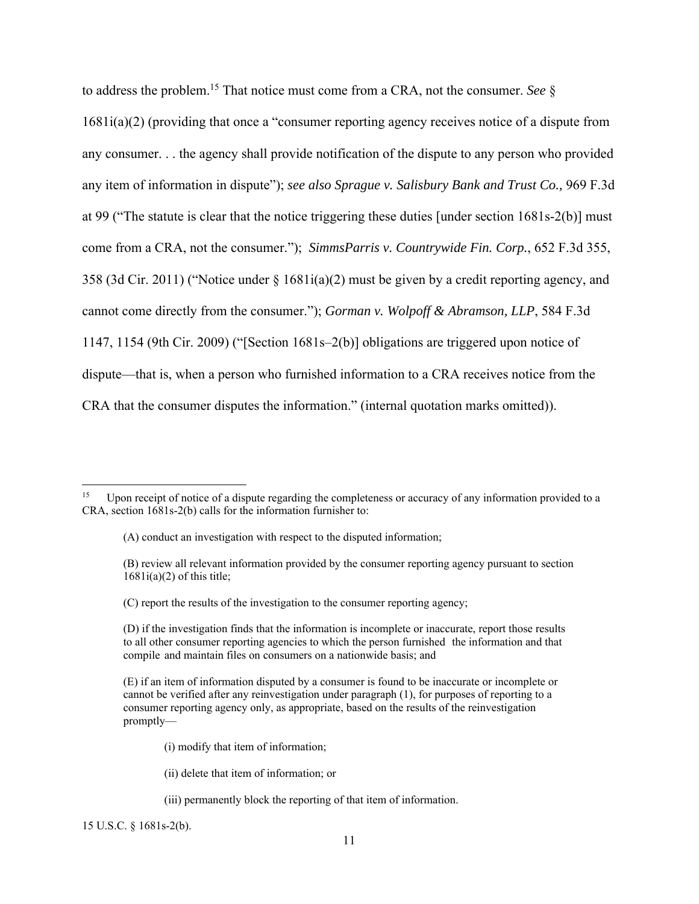to address the problem.15 That notice must come from a CRA, not the consumer. *See* § 1681i(a)(2) (providing that once a "consumer reporting agency receives notice of a dispute from any consumer. . . the agency shall provide notification of the dispute to any person who provided any item of information in dispute"); *see also Sprague v. Salisbury Bank and Trust Co.,* 969 F.3d at 99 ("The statute is clear that the notice triggering these duties [under section 1681s-2(b)] must come from a CRA, not the consumer."); *SimmsParris v. Countrywide Fin. Corp.*, 652 F.3d 355, 358 (3d Cir. 2011) ("Notice under § 1681i(a)(2) must be given by a credit reporting agency, and cannot come directly from the consumer."); *Gorman v. Wolpoff & Abramson, LLP*, 584 F.3d 1147, 1154 (9th Cir. 2009) ("[Section 1681s–2(b)] obligations are triggered upon notice of dispute—that is, when a person who furnished information to a CRA receives notice from the CRA that the consumer disputes the information." (internal quotation marks omitted)).

- (B) review all relevant information provided by the consumer reporting agency pursuant to section  $1681i(a)(2)$  of this title;
- (C) report the results of the investigation to the consumer reporting agency;

- (i) modify that item of information;
- (ii) delete that item of information; or
- (iii) permanently block the reporting of that item of information.

15 U.S.C. § 1681s-2(b).

Upon receipt of notice of a dispute regarding the completeness or accuracy of any information provided to a CRA, section 1681s-2(b) calls for the information furnisher to:

<sup>(</sup>A) conduct an investigation with respect to the disputed information;

<sup>(</sup>D) if the investigation finds that the information is incomplete or inaccurate, report those results to all other consumer reporting agencies to which the person furnished the information and that compile and maintain files on consumers on a nationwide basis; and

<sup>(</sup>E) if an item of information disputed by a consumer is found to be inaccurate or incomplete or cannot be verified after any reinvestigation under paragraph (1), for purposes of reporting to a consumer reporting agency only, as appropriate, based on the results of the reinvestigation promptly—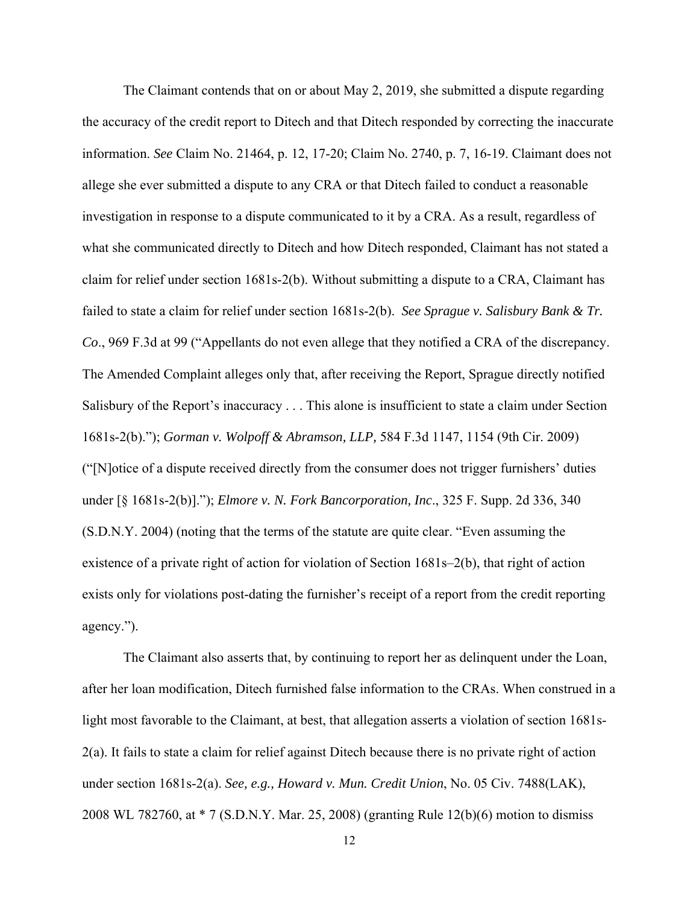The Claimant contends that on or about May 2, 2019, she submitted a dispute regarding the accuracy of the credit report to Ditech and that Ditech responded by correcting the inaccurate information. *See* Claim No. 21464, p. 12, 17-20; Claim No. 2740, p. 7, 16-19. Claimant does not allege she ever submitted a dispute to any CRA or that Ditech failed to conduct a reasonable investigation in response to a dispute communicated to it by a CRA. As a result, regardless of what she communicated directly to Ditech and how Ditech responded, Claimant has not stated a claim for relief under section 1681s-2(b). Without submitting a dispute to a CRA, Claimant has failed to state a claim for relief under section 1681s-2(b). *See Sprague v. Salisbury Bank & Tr. Co*., 969 F.3d at 99 ("Appellants do not even allege that they notified a CRA of the discrepancy. The Amended Complaint alleges only that, after receiving the Report, Sprague directly notified Salisbury of the Report's inaccuracy . . . This alone is insufficient to state a claim under Section 1681s-2(b)."); *Gorman v. Wolpoff & Abramson, LLP,* 584 F.3d 1147, 1154 (9th Cir. 2009) ("[N]otice of a dispute received directly from the consumer does not trigger furnishers' duties under [§ 1681s-2(b)]."); *Elmore v. N. Fork Bancorporation, Inc*., 325 F. Supp. 2d 336, 340 (S.D.N.Y. 2004) (noting that the terms of the statute are quite clear. "Even assuming the existence of a private right of action for violation of Section 1681s–2(b), that right of action exists only for violations post-dating the furnisher's receipt of a report from the credit reporting agency.").

 The Claimant also asserts that, by continuing to report her as delinquent under the Loan, after her loan modification, Ditech furnished false information to the CRAs. When construed in a light most favorable to the Claimant, at best, that allegation asserts a violation of section 1681s-2(a). It fails to state a claim for relief against Ditech because there is no private right of action under section 1681s-2(a). *See, e.g., Howard v. Mun. Credit Union*, No. 05 Civ. 7488(LAK), 2008 WL 782760, at \* 7 (S.D.N.Y. Mar. 25, 2008) (granting Rule 12(b)(6) motion to dismiss